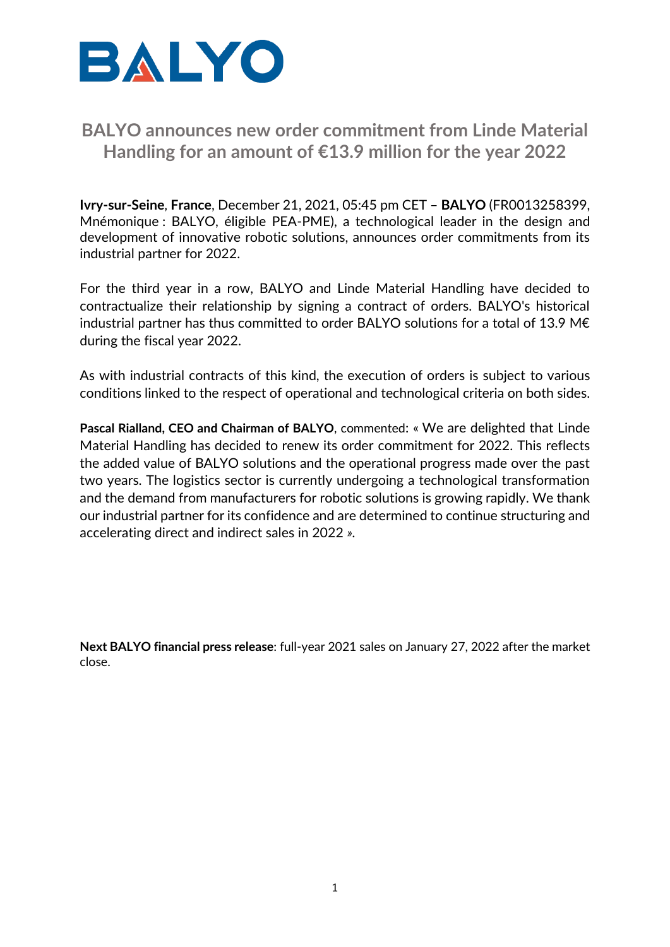

## **BALYO announces new order commitment from Linde Material Handling for an amount of €13.9 million for the year 2022**

**Ivry-sur-Seine**, **France**, December 21, 2021, 05:45 pm CET – **BALYO** (FR0013258399, Mnémonique : BALYO, éligible PEA-PME), a technological leader in the design and development of innovative robotic solutions, announces order commitments from its industrial partner for 2022.

For the third year in a row, BALYO and Linde Material Handling have decided to contractualize their relationship by signing a contract of orders. BALYO's historical industrial partner has thus committed to order BALYO solutions for a total of 13.9 M€ during the fiscal year 2022.

As with industrial contracts of this kind, the execution of orders is subject to various conditions linked to the respect of operational and technological criteria on both sides.

**Pascal Rialland, CEO and Chairman of BALYO**, commented: « We are delighted that Linde Material Handling has decided to renew its order commitment for 2022. This reflects the added value of BALYO solutions and the operational progress made over the past two years. The logistics sector is currently undergoing a technological transformation and the demand from manufacturers for robotic solutions is growing rapidly. We thank our industrial partner for its confidence and are determined to continue structuring and accelerating direct and indirect sales in 2022 *».*

**Next BALYO financial press release**: full-year 2021 sales on January 27, 2022 after the market close.